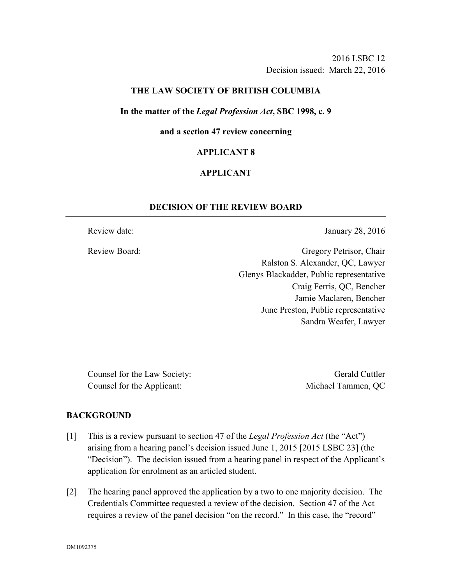## **THE LAW SOCIETY OF BRITISH COLUMBIA**

#### **In the matter of the** *Legal Profession Act***, SBC 1998, c. 9**

#### **and a section 47 review concerning**

#### **APPLICANT 8**

## **APPLICANT**

## **DECISION OF THE REVIEW BOARD**

Review date: January 28, 2016

Review Board: Gregory Petrisor, Chair Ralston S. Alexander, QC, Lawyer Glenys Blackadder, Public representative Craig Ferris, QC, Bencher Jamie Maclaren, Bencher June Preston, Public representative Sandra Weafer, Lawyer

Counsel for the Law Society: Gerald Cuttler Counsel for the Applicant: Michael Tammen, QC

#### **BACKGROUND**

- [1] This is a review pursuant to section 47 of the *Legal Profession Act* (the "Act") arising from a hearing panel's decision issued June 1, 2015 [2015 LSBC 23] (the "Decision"). The decision issued from a hearing panel in respect of the Applicant's application for enrolment as an articled student.
- [2] The hearing panel approved the application by a two to one majority decision. The Credentials Committee requested a review of the decision. Section 47 of the Act requires a review of the panel decision "on the record." In this case, the "record"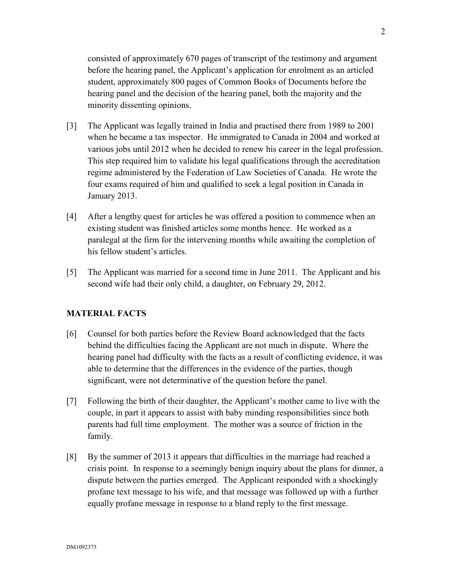consisted of approximately 670 pages of transcript of the testimony and argument before the hearing panel, the Applicant's application for enrolment as an articled student, approximately 800 pages of Common Books of Documents before the hearing panel and the decision of the hearing panel, both the majority and the minority dissenting opinions.

- [3] The Applicant was legally trained in India and practised there from 1989 to 2001 when he became a tax inspector. He immigrated to Canada in 2004 and worked at various jobs until 2012 when he decided to renew his career in the legal profession. This step required him to validate his legal qualifications through the accreditation regime administered by the Federation of Law Societies of Canada. He wrote the four exams required of him and qualified to seek a legal position in Canada in January 2013.
- [4] After a lengthy quest for articles he was offered a position to commence when an existing student was finished articles some months hence. He worked as a paralegal at the firm for the intervening months while awaiting the completion of his fellow student's articles.
- [5] The Applicant was married for a second time in June 2011. The Applicant and his second wife had their only child, a daughter, on February 29, 2012.

# **MATERIAL FACTS**

- [6] Counsel for both parties before the Review Board acknowledged that the facts behind the difficulties facing the Applicant are not much in dispute. Where the hearing panel had difficulty with the facts as a result of conflicting evidence, it was able to determine that the differences in the evidence of the parties, though significant, were not determinative of the question before the panel.
- [7] Following the birth of their daughter, the Applicant's mother came to live with the couple, in part it appears to assist with baby minding responsibilities since both parents had full time employment. The mother was a source of friction in the family.
- [8] By the summer of 2013 it appears that difficulties in the marriage had reached a crisis point. In response to a seemingly benign inquiry about the plans for dinner, a dispute between the parties emerged. The Applicant responded with a shockingly profane text message to his wife, and that message was followed up with a further equally profane message in response to a bland reply to the first message.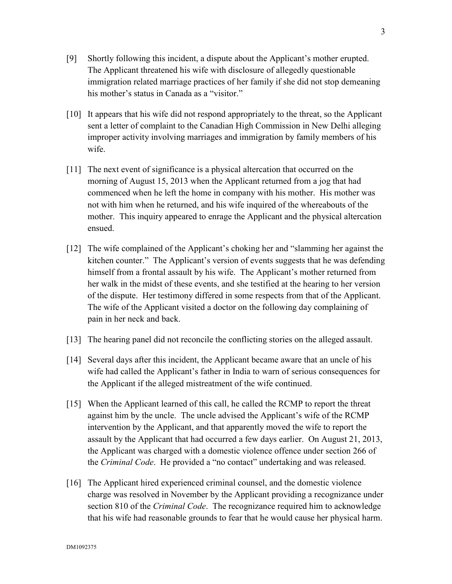- [9] Shortly following this incident, a dispute about the Applicant's mother erupted. The Applicant threatened his wife with disclosure of allegedly questionable immigration related marriage practices of her family if she did not stop demeaning his mother's status in Canada as a "visitor."
- [10] It appears that his wife did not respond appropriately to the threat, so the Applicant sent a letter of complaint to the Canadian High Commission in New Delhi alleging improper activity involving marriages and immigration by family members of his wife.
- [11] The next event of significance is a physical altercation that occurred on the morning of August 15, 2013 when the Applicant returned from a jog that had commenced when he left the home in company with his mother. His mother was not with him when he returned, and his wife inquired of the whereabouts of the mother. This inquiry appeared to enrage the Applicant and the physical altercation ensued.
- [12] The wife complained of the Applicant's choking her and "slamming her against the kitchen counter." The Applicant's version of events suggests that he was defending himself from a frontal assault by his wife. The Applicant's mother returned from her walk in the midst of these events, and she testified at the hearing to her version of the dispute. Her testimony differed in some respects from that of the Applicant. The wife of the Applicant visited a doctor on the following day complaining of pain in her neck and back.
- [13] The hearing panel did not reconcile the conflicting stories on the alleged assault.
- [14] Several days after this incident, the Applicant became aware that an uncle of his wife had called the Applicant's father in India to warn of serious consequences for the Applicant if the alleged mistreatment of the wife continued.
- [15] When the Applicant learned of this call, he called the RCMP to report the threat against him by the uncle. The uncle advised the Applicant's wife of the RCMP intervention by the Applicant, and that apparently moved the wife to report the assault by the Applicant that had occurred a few days earlier. On August 21, 2013, the Applicant was charged with a domestic violence offence under section 266 of the *Criminal Code*. He provided a "no contact" undertaking and was released.
- [16] The Applicant hired experienced criminal counsel, and the domestic violence charge was resolved in November by the Applicant providing a recognizance under section 810 of the *Criminal Code*. The recognizance required him to acknowledge that his wife had reasonable grounds to fear that he would cause her physical harm.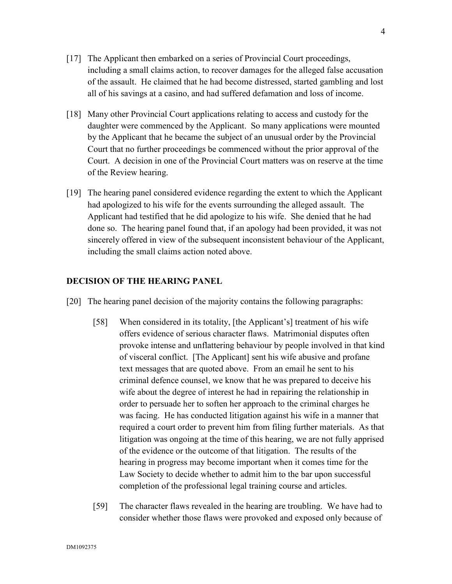- [17] The Applicant then embarked on a series of Provincial Court proceedings, including a small claims action, to recover damages for the alleged false accusation of the assault. He claimed that he had become distressed, started gambling and lost all of his savings at a casino, and had suffered defamation and loss of income.
- [18] Many other Provincial Court applications relating to access and custody for the daughter were commenced by the Applicant. So many applications were mounted by the Applicant that he became the subject of an unusual order by the Provincial Court that no further proceedings be commenced without the prior approval of the Court. A decision in one of the Provincial Court matters was on reserve at the time of the Review hearing.
- [19] The hearing panel considered evidence regarding the extent to which the Applicant had apologized to his wife for the events surrounding the alleged assault. The Applicant had testified that he did apologize to his wife. She denied that he had done so. The hearing panel found that, if an apology had been provided, it was not sincerely offered in view of the subsequent inconsistent behaviour of the Applicant, including the small claims action noted above.

## **DECISION OF THE HEARING PANEL**

- [20] The hearing panel decision of the majority contains the following paragraphs:
	- [58] When considered in its totality, [the Applicant's] treatment of his wife offers evidence of serious character flaws. Matrimonial disputes often provoke intense and unflattering behaviour by people involved in that kind of visceral conflict. [The Applicant] sent his wife abusive and profane text messages that are quoted above. From an email he sent to his criminal defence counsel, we know that he was prepared to deceive his wife about the degree of interest he had in repairing the relationship in order to persuade her to soften her approach to the criminal charges he was facing. He has conducted litigation against his wife in a manner that required a court order to prevent him from filing further materials. As that litigation was ongoing at the time of this hearing, we are not fully apprised of the evidence or the outcome of that litigation. The results of the hearing in progress may become important when it comes time for the Law Society to decide whether to admit him to the bar upon successful completion of the professional legal training course and articles.
	- [59] The character flaws revealed in the hearing are troubling. We have had to consider whether those flaws were provoked and exposed only because of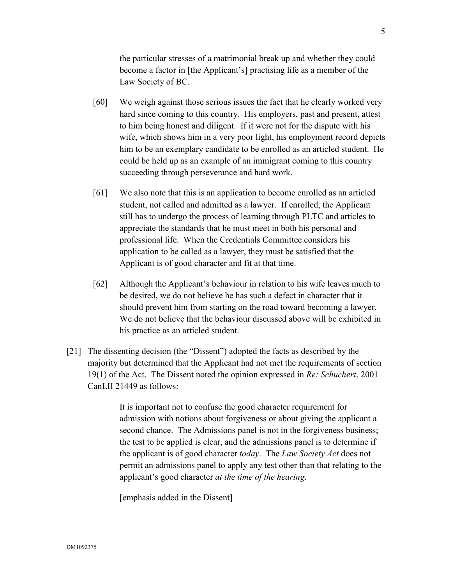the particular stresses of a matrimonial break up and whether they could become a factor in [the Applicant's] practising life as a member of the Law Society of BC.

- [60] We weigh against those serious issues the fact that he clearly worked very hard since coming to this country. His employers, past and present, attest to him being honest and diligent. If it were not for the dispute with his wife, which shows him in a very poor light, his employment record depicts him to be an exemplary candidate to be enrolled as an articled student. He could be held up as an example of an immigrant coming to this country succeeding through perseverance and hard work.
- [61] We also note that this is an application to become enrolled as an articled student, not called and admitted as a lawyer. If enrolled, the Applicant still has to undergo the process of learning through PLTC and articles to appreciate the standards that he must meet in both his personal and professional life. When the Credentials Committee considers his application to be called as a lawyer, they must be satisfied that the Applicant is of good character and fit at that time.
- [62] Although the Applicant's behaviour in relation to his wife leaves much to be desired, we do not believe he has such a defect in character that it should prevent him from starting on the road toward becoming a lawyer. We do not believe that the behaviour discussed above will be exhibited in his practice as an articled student.
- [21] The dissenting decision (the "Dissent") adopted the facts as described by the majority but determined that the Applicant had not met the requirements of section 19(1) of the Act. The Dissent noted the opinion expressed in *Re: Schuchert*, 2001 CanLII 21449 as follows:

It is important not to confuse the good character requirement for admission with notions about forgiveness or about giving the applicant a second chance. The Admissions panel is not in the forgiveness business; the test to be applied is clear, and the admissions panel is to determine if the applicant is of good character *today*. The *Law Society Act* does not permit an admissions panel to apply any test other than that relating to the applicant's good character *at the time of the hearing*.

[emphasis added in the Dissent]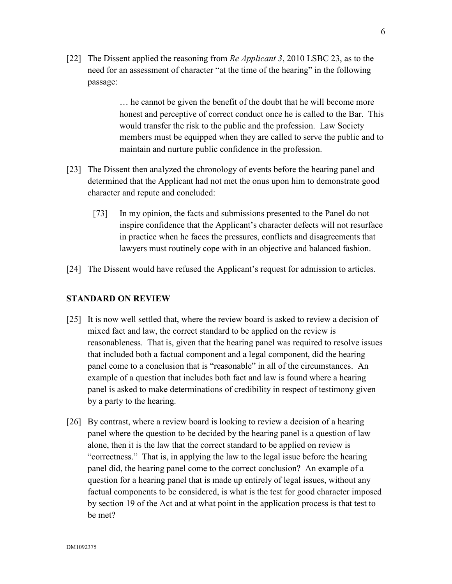[22] The Dissent applied the reasoning from *Re Applicant 3*, 2010 LSBC 23, as to the need for an assessment of character "at the time of the hearing" in the following passage:

> … he cannot be given the benefit of the doubt that he will become more honest and perceptive of correct conduct once he is called to the Bar. This would transfer the risk to the public and the profession. Law Society members must be equipped when they are called to serve the public and to maintain and nurture public confidence in the profession.

- [23] The Dissent then analyzed the chronology of events before the hearing panel and determined that the Applicant had not met the onus upon him to demonstrate good character and repute and concluded:
	- [73] In my opinion, the facts and submissions presented to the Panel do not inspire confidence that the Applicant's character defects will not resurface in practice when he faces the pressures, conflicts and disagreements that lawyers must routinely cope with in an objective and balanced fashion.
- [24] The Dissent would have refused the Applicant's request for admission to articles.

#### **STANDARD ON REVIEW**

- [25] It is now well settled that, where the review board is asked to review a decision of mixed fact and law, the correct standard to be applied on the review is reasonableness. That is, given that the hearing panel was required to resolve issues that included both a factual component and a legal component, did the hearing panel come to a conclusion that is "reasonable" in all of the circumstances. An example of a question that includes both fact and law is found where a hearing panel is asked to make determinations of credibility in respect of testimony given by a party to the hearing.
- [26] By contrast, where a review board is looking to review a decision of a hearing panel where the question to be decided by the hearing panel is a question of law alone, then it is the law that the correct standard to be applied on review is "correctness." That is, in applying the law to the legal issue before the hearing panel did, the hearing panel come to the correct conclusion? An example of a question for a hearing panel that is made up entirely of legal issues, without any factual components to be considered, is what is the test for good character imposed by section 19 of the Act and at what point in the application process is that test to be met?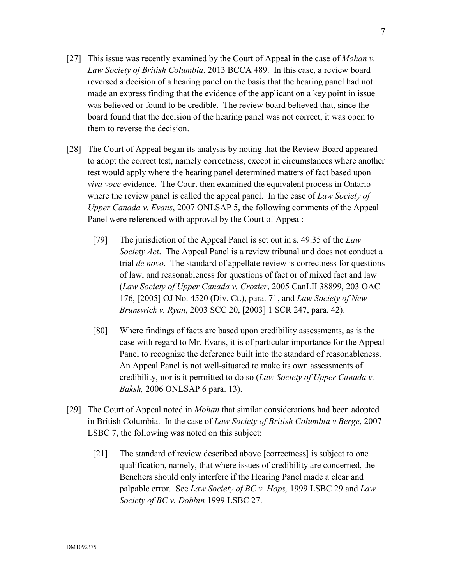- [27] This issue was recently examined by the Court of Appeal in the case of *Mohan v. Law Society of British Columbia*, 2013 BCCA 489. In this case, a review board reversed a decision of a hearing panel on the basis that the hearing panel had not made an express finding that the evidence of the applicant on a key point in issue was believed or found to be credible. The review board believed that, since the board found that the decision of the hearing panel was not correct, it was open to them to reverse the decision.
- [28] The Court of Appeal began its analysis by noting that the Review Board appeared to adopt the correct test, namely correctness, except in circumstances where another test would apply where the hearing panel determined matters of fact based upon *viva voce* evidence. The Court then examined the equivalent process in Ontario where the review panel is called the appeal panel. In the case of *Law Society of Upper Canada v. Evans*, 2007 ONLSAP 5, the following comments of the Appeal Panel were referenced with approval by the Court of Appeal:
	- [79] The jurisdiction of the Appeal Panel is set out in s. 49.35 of the *Law Society Act*. The Appeal Panel is a review tribunal and does not conduct a trial *de novo*. The standard of appellate review is correctness for questions of law, and reasonableness for questions of fact or of mixed fact and law (*Law Society of Upper Canada v. Crozier*, 2005 CanLII 38899, 203 OAC 176, [2005] OJ No. 4520 (Div. Ct.), para. 71, and *Law Society of New Brunswick v. Ryan*, 2003 SCC 20, [2003] 1 SCR 247, para. 42).
	- [80] Where findings of facts are based upon credibility assessments, as is the case with regard to Mr. Evans, it is of particular importance for the Appeal Panel to recognize the deference built into the standard of reasonableness. An Appeal Panel is not well-situated to make its own assessments of credibility, nor is it permitted to do so (*Law Society of Upper Canada v. Baksh,* 2006 ONLSAP 6 para. 13).
- [29] The Court of Appeal noted in *Mohan* that similar considerations had been adopted in British Columbia. In the case of *Law Society of British Columbia v Berge*, 2007 LSBC 7, the following was noted on this subject:
	- [21] The standard of review described above [correctness] is subject to one qualification, namely, that where issues of credibility are concerned, the Benchers should only interfere if the Hearing Panel made a clear and palpable error. See *Law Society of BC v. Hops,* 1999 LSBC 29 and *Law Society of BC v. Dobbin* 1999 LSBC 27.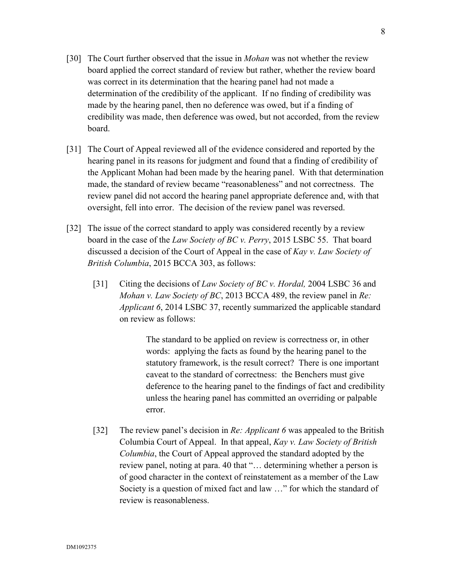- [30] The Court further observed that the issue in *Mohan* was not whether the review board applied the correct standard of review but rather, whether the review board was correct in its determination that the hearing panel had not made a determination of the credibility of the applicant. If no finding of credibility was made by the hearing panel, then no deference was owed, but if a finding of credibility was made, then deference was owed, but not accorded, from the review board.
- [31] The Court of Appeal reviewed all of the evidence considered and reported by the hearing panel in its reasons for judgment and found that a finding of credibility of the Applicant Mohan had been made by the hearing panel. With that determination made, the standard of review became "reasonableness" and not correctness. The review panel did not accord the hearing panel appropriate deference and, with that oversight, fell into error. The decision of the review panel was reversed.
- [32] The issue of the correct standard to apply was considered recently by a review board in the case of the *Law Society of BC v. Perry*, 2015 LSBC 55. That board discussed a decision of the Court of Appeal in the case of *Kay v. Law Society of British Columbia*, 2015 BCCA 303, as follows:
	- [31] Citing the decisions of *Law Society of BC v. Hordal,* 2004 LSBC 36 and *Mohan v. Law Society of BC*, 2013 BCCA 489, the review panel in *Re: Applicant 6*, 2014 LSBC 37, recently summarized the applicable standard on review as follows:

The standard to be applied on review is correctness or, in other words: applying the facts as found by the hearing panel to the statutory framework, is the result correct? There is one important caveat to the standard of correctness: the Benchers must give deference to the hearing panel to the findings of fact and credibility unless the hearing panel has committed an overriding or palpable error.

[32] The review panel's decision in *Re: Applicant 6* was appealed to the British Columbia Court of Appeal. In that appeal, *Kay v. Law Society of British Columbia*, the Court of Appeal approved the standard adopted by the review panel, noting at para. 40 that "… determining whether a person is of good character in the context of reinstatement as a member of the Law Society is a question of mixed fact and law …" for which the standard of review is reasonableness.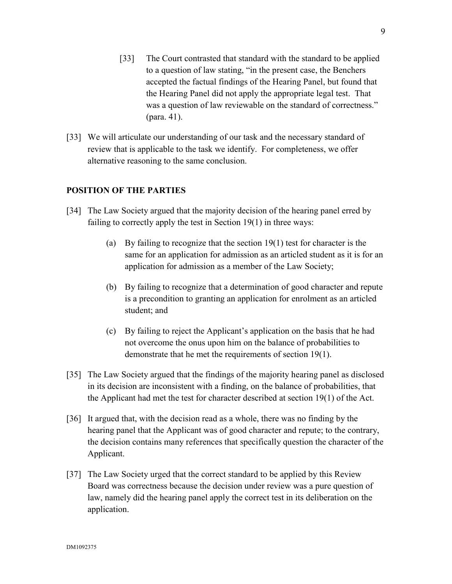- [33] The Court contrasted that standard with the standard to be applied to a question of law stating, "in the present case, the Benchers accepted the factual findings of the Hearing Panel, but found that the Hearing Panel did not apply the appropriate legal test. That was a question of law reviewable on the standard of correctness." (para. 41).
- [33] We will articulate our understanding of our task and the necessary standard of review that is applicable to the task we identify. For completeness, we offer alternative reasoning to the same conclusion.

# **POSITION OF THE PARTIES**

- [34] The Law Society argued that the majority decision of the hearing panel erred by failing to correctly apply the test in Section 19(1) in three ways:
	- (a) By failing to recognize that the section 19(1) test for character is the same for an application for admission as an articled student as it is for an application for admission as a member of the Law Society;
	- (b) By failing to recognize that a determination of good character and repute is a precondition to granting an application for enrolment as an articled student; and
	- (c) By failing to reject the Applicant's application on the basis that he had not overcome the onus upon him on the balance of probabilities to demonstrate that he met the requirements of section 19(1).
- [35] The Law Society argued that the findings of the majority hearing panel as disclosed in its decision are inconsistent with a finding, on the balance of probabilities, that the Applicant had met the test for character described at section 19(1) of the Act.
- [36] It argued that, with the decision read as a whole, there was no finding by the hearing panel that the Applicant was of good character and repute; to the contrary, the decision contains many references that specifically question the character of the Applicant.
- [37] The Law Society urged that the correct standard to be applied by this Review Board was correctness because the decision under review was a pure question of law, namely did the hearing panel apply the correct test in its deliberation on the application.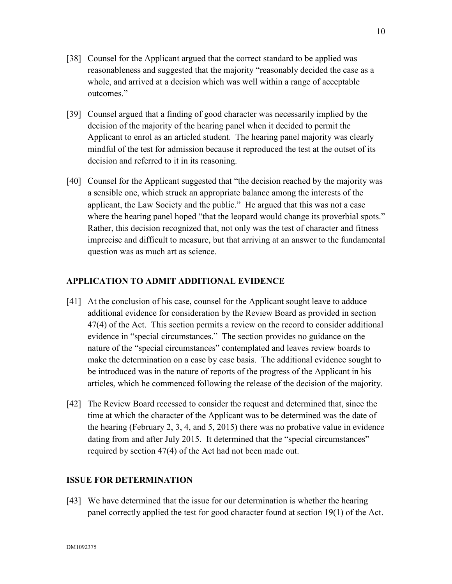- [39] Counsel argued that a finding of good character was necessarily implied by the decision of the majority of the hearing panel when it decided to permit the Applicant to enrol as an articled student. The hearing panel majority was clearly mindful of the test for admission because it reproduced the test at the outset of its decision and referred to it in its reasoning.
- [40] Counsel for the Applicant suggested that "the decision reached by the majority was a sensible one, which struck an appropriate balance among the interests of the applicant, the Law Society and the public." He argued that this was not a case where the hearing panel hoped "that the leopard would change its proverbial spots." Rather, this decision recognized that, not only was the test of character and fitness imprecise and difficult to measure, but that arriving at an answer to the fundamental question was as much art as science.

# **APPLICATION TO ADMIT ADDITIONAL EVIDENCE**

- [41] At the conclusion of his case, counsel for the Applicant sought leave to adduce additional evidence for consideration by the Review Board as provided in section 47(4) of the Act. This section permits a review on the record to consider additional evidence in "special circumstances." The section provides no guidance on the nature of the "special circumstances" contemplated and leaves review boards to make the determination on a case by case basis. The additional evidence sought to be introduced was in the nature of reports of the progress of the Applicant in his articles, which he commenced following the release of the decision of the majority.
- [42] The Review Board recessed to consider the request and determined that, since the time at which the character of the Applicant was to be determined was the date of the hearing (February 2, 3, 4, and 5, 2015) there was no probative value in evidence dating from and after July 2015. It determined that the "special circumstances" required by section 47(4) of the Act had not been made out.

# **ISSUE FOR DETERMINATION**

[43] We have determined that the issue for our determination is whether the hearing panel correctly applied the test for good character found at section 19(1) of the Act.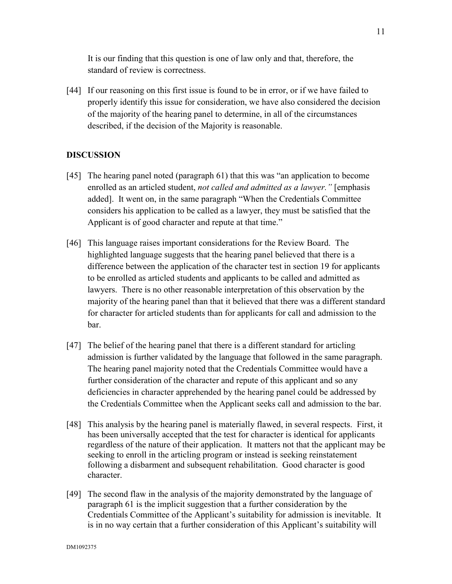It is our finding that this question is one of law only and that, therefore, the standard of review is correctness.

[44] If our reasoning on this first issue is found to be in error, or if we have failed to properly identify this issue for consideration, we have also considered the decision of the majority of the hearing panel to determine, in all of the circumstances described, if the decision of the Majority is reasonable.

# **DISCUSSION**

- [45] The hearing panel noted (paragraph 61) that this was "an application to become enrolled as an articled student, *not called and admitted as a lawyer."* [emphasis added]. It went on, in the same paragraph "When the Credentials Committee considers his application to be called as a lawyer, they must be satisfied that the Applicant is of good character and repute at that time."
- [46] This language raises important considerations for the Review Board. The highlighted language suggests that the hearing panel believed that there is a difference between the application of the character test in section 19 for applicants to be enrolled as articled students and applicants to be called and admitted as lawyers. There is no other reasonable interpretation of this observation by the majority of the hearing panel than that it believed that there was a different standard for character for articled students than for applicants for call and admission to the bar.
- [47] The belief of the hearing panel that there is a different standard for articling admission is further validated by the language that followed in the same paragraph. The hearing panel majority noted that the Credentials Committee would have a further consideration of the character and repute of this applicant and so any deficiencies in character apprehended by the hearing panel could be addressed by the Credentials Committee when the Applicant seeks call and admission to the bar.
- [48] This analysis by the hearing panel is materially flawed, in several respects. First, it has been universally accepted that the test for character is identical for applicants regardless of the nature of their application. It matters not that the applicant may be seeking to enroll in the articling program or instead is seeking reinstatement following a disbarment and subsequent rehabilitation. Good character is good character.
- [49] The second flaw in the analysis of the majority demonstrated by the language of paragraph 61 is the implicit suggestion that a further consideration by the Credentials Committee of the Applicant's suitability for admission is inevitable. It is in no way certain that a further consideration of this Applicant's suitability will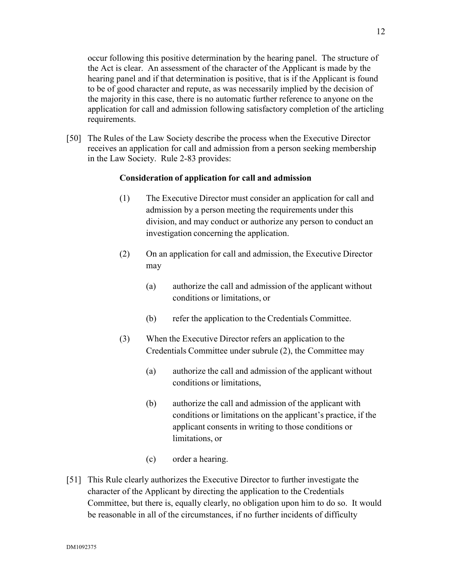occur following this positive determination by the hearing panel. The structure of the Act is clear. An assessment of the character of the Applicant is made by the hearing panel and if that determination is positive, that is if the Applicant is found to be of good character and repute, as was necessarily implied by the decision of the majority in this case, there is no automatic further reference to anyone on the application for call and admission following satisfactory completion of the articling requirements.

[50] The Rules of the Law Society describe the process when the Executive Director receives an application for call and admission from a person seeking membership in the Law Society. Rule 2-83 provides:

## **Consideration of application for call and admission**

- (1) The Executive Director must consider an application for call and admission by a person meeting the requirements under this division, and may conduct or authorize any person to conduct an investigation concerning the application.
- (2) On an application for call and admission, the Executive Director may
	- (a) authorize the call and admission of the applicant without conditions or limitations, or
	- (b) refer the application to the Credentials Committee.
- (3) When the Executive Director refers an application to the Credentials Committee under subrule (2), the Committee may
	- (a) authorize the call and admission of the applicant without conditions or limitations,
	- (b) authorize the call and admission of the applicant with conditions or limitations on the applicant's practice, if the applicant consents in writing to those conditions or limitations, or
	- (c) order a hearing.
- [51] This Rule clearly authorizes the Executive Director to further investigate the character of the Applicant by directing the application to the Credentials Committee, but there is, equally clearly, no obligation upon him to do so. It would be reasonable in all of the circumstances, if no further incidents of difficulty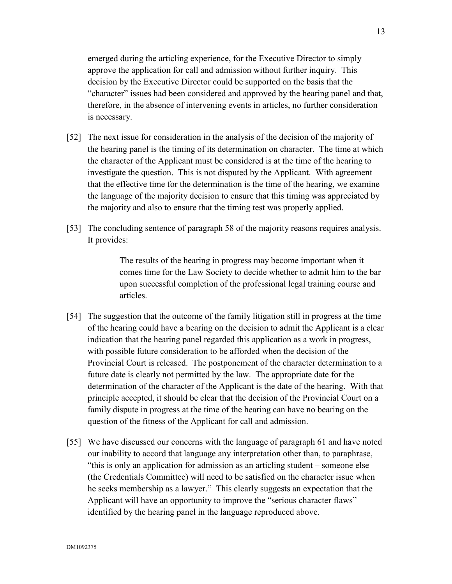emerged during the articling experience, for the Executive Director to simply approve the application for call and admission without further inquiry. This decision by the Executive Director could be supported on the basis that the "character" issues had been considered and approved by the hearing panel and that, therefore, in the absence of intervening events in articles, no further consideration is necessary.

- [52] The next issue for consideration in the analysis of the decision of the majority of the hearing panel is the timing of its determination on character. The time at which the character of the Applicant must be considered is at the time of the hearing to investigate the question. This is not disputed by the Applicant. With agreement that the effective time for the determination is the time of the hearing, we examine the language of the majority decision to ensure that this timing was appreciated by the majority and also to ensure that the timing test was properly applied.
- [53] The concluding sentence of paragraph 58 of the majority reasons requires analysis. It provides:

The results of the hearing in progress may become important when it comes time for the Law Society to decide whether to admit him to the bar upon successful completion of the professional legal training course and articles.

- [54] The suggestion that the outcome of the family litigation still in progress at the time of the hearing could have a bearing on the decision to admit the Applicant is a clear indication that the hearing panel regarded this application as a work in progress, with possible future consideration to be afforded when the decision of the Provincial Court is released. The postponement of the character determination to a future date is clearly not permitted by the law. The appropriate date for the determination of the character of the Applicant is the date of the hearing. With that principle accepted, it should be clear that the decision of the Provincial Court on a family dispute in progress at the time of the hearing can have no bearing on the question of the fitness of the Applicant for call and admission.
- [55] We have discussed our concerns with the language of paragraph 61 and have noted our inability to accord that language any interpretation other than, to paraphrase, "this is only an application for admission as an articling student – someone else (the Credentials Committee) will need to be satisfied on the character issue when he seeks membership as a lawyer." This clearly suggests an expectation that the Applicant will have an opportunity to improve the "serious character flaws" identified by the hearing panel in the language reproduced above.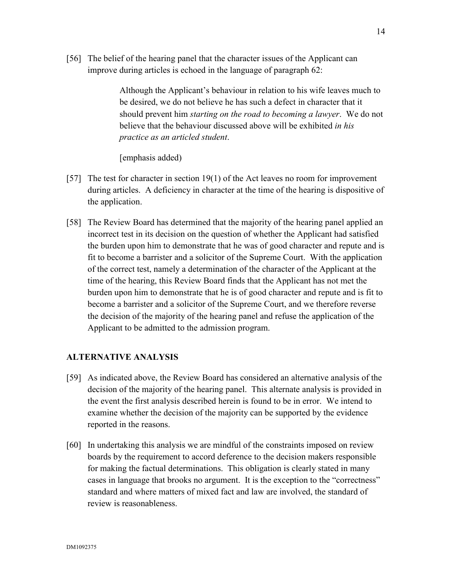[56] The belief of the hearing panel that the character issues of the Applicant can improve during articles is echoed in the language of paragraph 62:

> Although the Applicant's behaviour in relation to his wife leaves much to be desired, we do not believe he has such a defect in character that it should prevent him *starting on the road to becoming a lawyer*. We do not believe that the behaviour discussed above will be exhibited *in his practice as an articled student*.

[emphasis added)

- [57] The test for character in section 19(1) of the Act leaves no room for improvement during articles. A deficiency in character at the time of the hearing is dispositive of the application.
- [58] The Review Board has determined that the majority of the hearing panel applied an incorrect test in its decision on the question of whether the Applicant had satisfied the burden upon him to demonstrate that he was of good character and repute and is fit to become a barrister and a solicitor of the Supreme Court. With the application of the correct test, namely a determination of the character of the Applicant at the time of the hearing, this Review Board finds that the Applicant has not met the burden upon him to demonstrate that he is of good character and repute and is fit to become a barrister and a solicitor of the Supreme Court, and we therefore reverse the decision of the majority of the hearing panel and refuse the application of the Applicant to be admitted to the admission program.

# **ALTERNATIVE ANALYSIS**

- [59] As indicated above, the Review Board has considered an alternative analysis of the decision of the majority of the hearing panel. This alternate analysis is provided in the event the first analysis described herein is found to be in error. We intend to examine whether the decision of the majority can be supported by the evidence reported in the reasons.
- [60] In undertaking this analysis we are mindful of the constraints imposed on review boards by the requirement to accord deference to the decision makers responsible for making the factual determinations. This obligation is clearly stated in many cases in language that brooks no argument. It is the exception to the "correctness" standard and where matters of mixed fact and law are involved, the standard of review is reasonableness.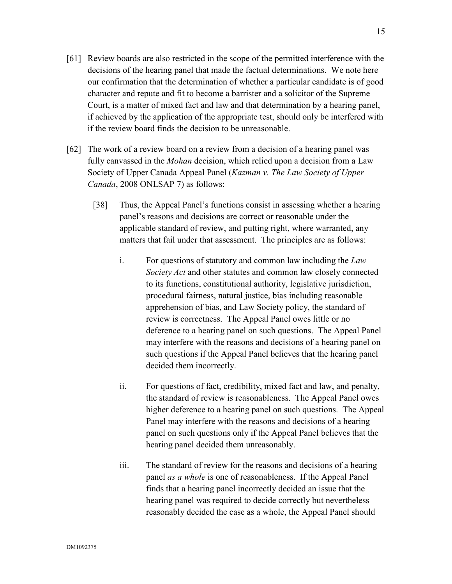- [61] Review boards are also restricted in the scope of the permitted interference with the decisions of the hearing panel that made the factual determinations. We note here our confirmation that the determination of whether a particular candidate is of good character and repute and fit to become a barrister and a solicitor of the Supreme Court, is a matter of mixed fact and law and that determination by a hearing panel, if achieved by the application of the appropriate test, should only be interfered with if the review board finds the decision to be unreasonable.
- [62] The work of a review board on a review from a decision of a hearing panel was fully canvassed in the *Mohan* decision, which relied upon a decision from a Law Society of Upper Canada Appeal Panel (*Kazman v. The Law Society of Upper Canada*, 2008 ONLSAP 7) as follows:
	- [38] Thus, the Appeal Panel's functions consist in assessing whether a hearing panel's reasons and decisions are correct or reasonable under the applicable standard of review, and putting right, where warranted, any matters that fail under that assessment. The principles are as follows:
		- i. For questions of statutory and common law including the *Law Society Act* and other statutes and common law closely connected to its functions, constitutional authority, legislative jurisdiction, procedural fairness, natural justice, bias including reasonable apprehension of bias, and Law Society policy, the standard of review is correctness. The Appeal Panel owes little or no deference to a hearing panel on such questions. The Appeal Panel may interfere with the reasons and decisions of a hearing panel on such questions if the Appeal Panel believes that the hearing panel decided them incorrectly.
		- ii. For questions of fact, credibility, mixed fact and law, and penalty, the standard of review is reasonableness. The Appeal Panel owes higher deference to a hearing panel on such questions. The Appeal Panel may interfere with the reasons and decisions of a hearing panel on such questions only if the Appeal Panel believes that the hearing panel decided them unreasonably.
		- iii. The standard of review for the reasons and decisions of a hearing panel *as a whole* is one of reasonableness. If the Appeal Panel finds that a hearing panel incorrectly decided an issue that the hearing panel was required to decide correctly but nevertheless reasonably decided the case as a whole, the Appeal Panel should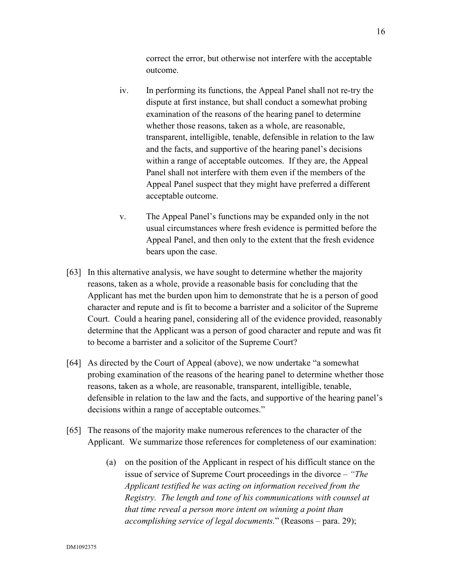correct the error, but otherwise not interfere with the acceptable outcome.

- iv. In performing its functions, the Appeal Panel shall not re-try the dispute at first instance, but shall conduct a somewhat probing examination of the reasons of the hearing panel to determine whether those reasons, taken as a whole, are reasonable, transparent, intelligible, tenable, defensible in relation to the law and the facts, and supportive of the hearing panel's decisions within a range of acceptable outcomes. If they are, the Appeal Panel shall not interfere with them even if the members of the Appeal Panel suspect that they might have preferred a different acceptable outcome.
- v. The Appeal Panel's functions may be expanded only in the not usual circumstances where fresh evidence is permitted before the Appeal Panel, and then only to the extent that the fresh evidence bears upon the case.
- [63] In this alternative analysis, we have sought to determine whether the majority reasons, taken as a whole, provide a reasonable basis for concluding that the Applicant has met the burden upon him to demonstrate that he is a person of good character and repute and is fit to become a barrister and a solicitor of the Supreme Court. Could a hearing panel, considering all of the evidence provided, reasonably determine that the Applicant was a person of good character and repute and was fit to become a barrister and a solicitor of the Supreme Court?
- [64] As directed by the Court of Appeal (above), we now undertake "a somewhat probing examination of the reasons of the hearing panel to determine whether those reasons, taken as a whole, are reasonable, transparent, intelligible, tenable, defensible in relation to the law and the facts, and supportive of the hearing panel's decisions within a range of acceptable outcomes."
- [65] The reasons of the majority make numerous references to the character of the Applicant. We summarize those references for completeness of our examination:
	- (a) on the position of the Applicant in respect of his difficult stance on the issue of service of Supreme Court proceedings in the divorce – *"The Applicant testified he was acting on information received from the Registry. The length and tone of his communications with counsel at that time reveal a person more intent on winning a point than accomplishing service of legal documents.*" (Reasons – para. 29);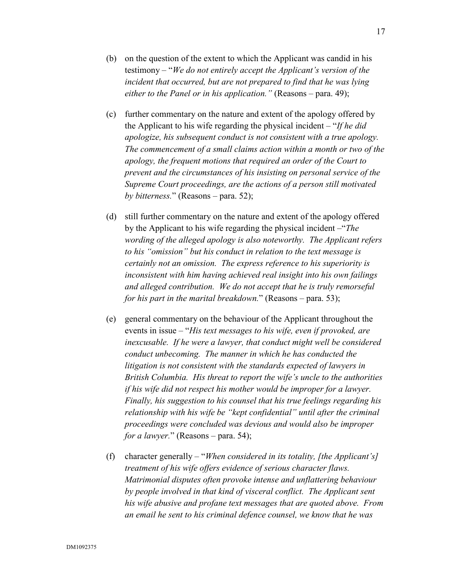- (b) on the question of the extent to which the Applicant was candid in his testimony – "*We do not entirely accept the Applicant's version of the incident that occurred, but are not prepared to find that he was lying either to the Panel or in his application."* (Reasons – para. 49);
- (c) further commentary on the nature and extent of the apology offered by the Applicant to his wife regarding the physical incident – "*If he did apologize, his subsequent conduct is not consistent with a true apology. The commencement of a small claims action within a month or two of the apology, the frequent motions that required an order of the Court to prevent and the circumstances of his insisting on personal service of the Supreme Court proceedings, are the actions of a person still motivated by bitterness.*" (Reasons – para. 52);
- (d) still further commentary on the nature and extent of the apology offered by the Applicant to his wife regarding the physical incident –"*The wording of the alleged apology is also noteworthy. The Applicant refers to his "omission" but his conduct in relation to the text message is certainly not an omission. The express reference to his superiority is inconsistent with him having achieved real insight into his own failings and alleged contribution. We do not accept that he is truly remorseful for his part in the marital breakdown.*" (Reasons – para. 53);
- (e) general commentary on the behaviour of the Applicant throughout the events in issue – "*His text messages to his wife, even if provoked, are inexcusable. If he were a lawyer, that conduct might well be considered conduct unbecoming. The manner in which he has conducted the litigation is not consistent with the standards expected of lawyers in British Columbia. His threat to report the wife's uncle to the authorities if his wife did not respect his mother would be improper for a lawyer. Finally, his suggestion to his counsel that his true feelings regarding his relationship with his wife be "kept confidential" until after the criminal proceedings were concluded was devious and would also be improper for a lawyer.*" (Reasons – para. 54);
- (f) character generally "*When considered in its totality, [the Applicant's] treatment of his wife offers evidence of serious character flaws. Matrimonial disputes often provoke intense and unflattering behaviour by people involved in that kind of visceral conflict. The Applicant sent his wife abusive and profane text messages that are quoted above. From an email he sent to his criminal defence counsel, we know that he was*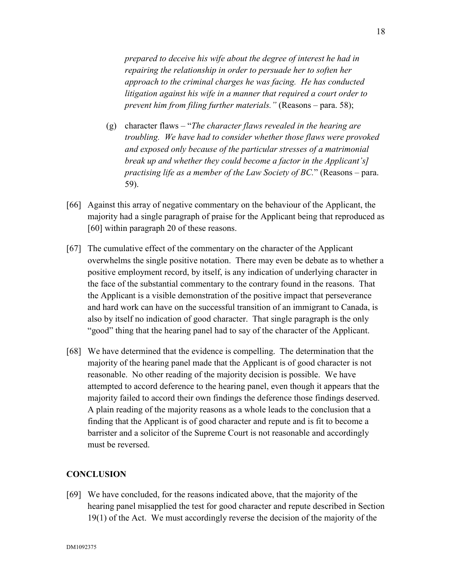*prepared to deceive his wife about the degree of interest he had in repairing the relationship in order to persuade her to soften her approach to the criminal charges he was facing. He has conducted litigation against his wife in a manner that required a court order to prevent him from filing further materials."* (Reasons – para. 58);

- (g) character flaws "*The character flaws revealed in the hearing are troubling. We have had to consider whether those flaws were provoked and exposed only because of the particular stresses of a matrimonial break up and whether they could become a factor in the Applicant's] practising life as a member of the Law Society of BC.*" (Reasons – para. 59).
- [66] Against this array of negative commentary on the behaviour of the Applicant, the majority had a single paragraph of praise for the Applicant being that reproduced as [60] within paragraph 20 of these reasons.
- [67] The cumulative effect of the commentary on the character of the Applicant overwhelms the single positive notation. There may even be debate as to whether a positive employment record, by itself, is any indication of underlying character in the face of the substantial commentary to the contrary found in the reasons. That the Applicant is a visible demonstration of the positive impact that perseverance and hard work can have on the successful transition of an immigrant to Canada, is also by itself no indication of good character. That single paragraph is the only "good" thing that the hearing panel had to say of the character of the Applicant.
- [68] We have determined that the evidence is compelling. The determination that the majority of the hearing panel made that the Applicant is of good character is not reasonable. No other reading of the majority decision is possible. We have attempted to accord deference to the hearing panel, even though it appears that the majority failed to accord their own findings the deference those findings deserved. A plain reading of the majority reasons as a whole leads to the conclusion that a finding that the Applicant is of good character and repute and is fit to become a barrister and a solicitor of the Supreme Court is not reasonable and accordingly must be reversed.

## **CONCLUSION**

[69] We have concluded, for the reasons indicated above, that the majority of the hearing panel misapplied the test for good character and repute described in Section 19(1) of the Act. We must accordingly reverse the decision of the majority of the